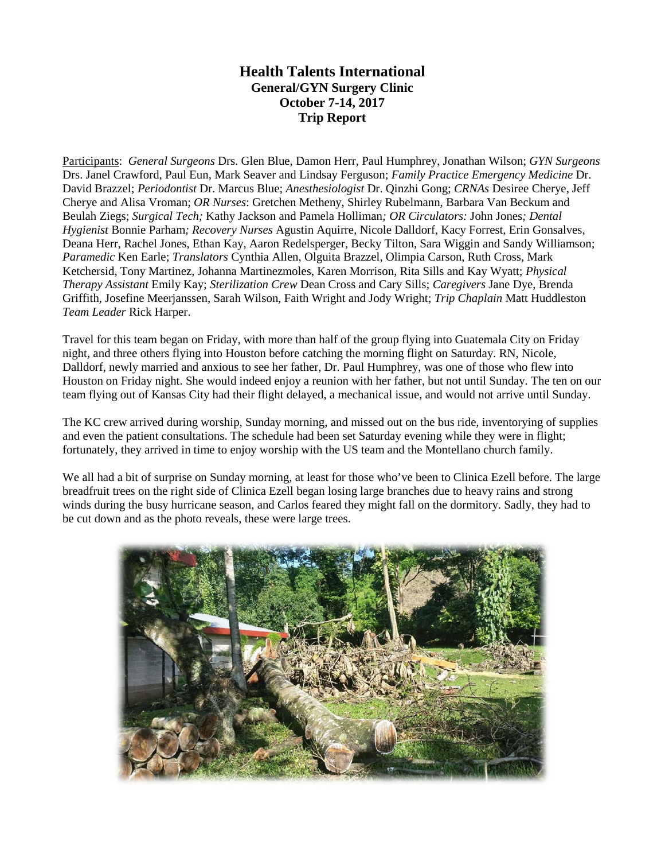## **Health Talents International General/GYN Surgery Clinic October 7-14, 2017 Trip Report**

Participants: *General Surgeons* Drs. Glen Blue, Damon Herr, Paul Humphrey, Jonathan Wilson; *GYN Surgeons* Drs. Janel Crawford, Paul Eun, Mark Seaver and Lindsay Ferguson; *Family Practice Emergency Medicine* Dr. David Brazzel; *Periodontist* Dr. Marcus Blue; *Anesthesiologist* Dr. Qinzhi Gong; *CRNAs* Desiree Cherye, Jeff Cherye and Alisa Vroman; *OR Nurses*: Gretchen Metheny, Shirley Rubelmann, Barbara Van Beckum and Beulah Ziegs; *Surgical Tech;* Kathy Jackson and Pamela Holliman*; OR Circulators:* John Jones*; Dental Hygienist* Bonnie Parham*; Recovery Nurses* Agustin Aquirre, Nicole Dalldorf, Kacy Forrest, Erin Gonsalves, Deana Herr, Rachel Jones, Ethan Kay, Aaron Redelsperger, Becky Tilton, Sara Wiggin and Sandy Williamson; *Paramedic* Ken Earle; *Translators* Cynthia Allen, Olguita Brazzel, Olimpia Carson, Ruth Cross, Mark Ketchersid, Tony Martinez, Johanna Martinezmoles, Karen Morrison, Rita Sills and Kay Wyatt; *Physical Therapy Assistant* Emily Kay; *Sterilization Crew* Dean Cross and Cary Sills; *Caregivers* Jane Dye, Brenda Griffith, Josefine Meerjanssen, Sarah Wilson, Faith Wright and Jody Wright; *Trip Chaplain* Matt Huddleston *Team Leader* Rick Harper.

Travel for this team began on Friday, with more than half of the group flying into Guatemala City on Friday night, and three others flying into Houston before catching the morning flight on Saturday. RN, Nicole, Dalldorf, newly married and anxious to see her father, Dr. Paul Humphrey, was one of those who flew into Houston on Friday night. She would indeed enjoy a reunion with her father, but not until Sunday. The ten on our team flying out of Kansas City had their flight delayed, a mechanical issue, and would not arrive until Sunday.

The KC crew arrived during worship, Sunday morning, and missed out on the bus ride, inventorying of supplies and even the patient consultations. The schedule had been set Saturday evening while they were in flight; fortunately, they arrived in time to enjoy worship with the US team and the Montellano church family.

We all had a bit of surprise on Sunday morning, at least for those who've been to Clinica Ezell before. The large breadfruit trees on the right side of Clinica Ezell began losing large branches due to heavy rains and strong winds during the busy hurricane season, and Carlos feared they might fall on the dormitory. Sadly, they had to be cut down and as the photo reveals, these were large trees.

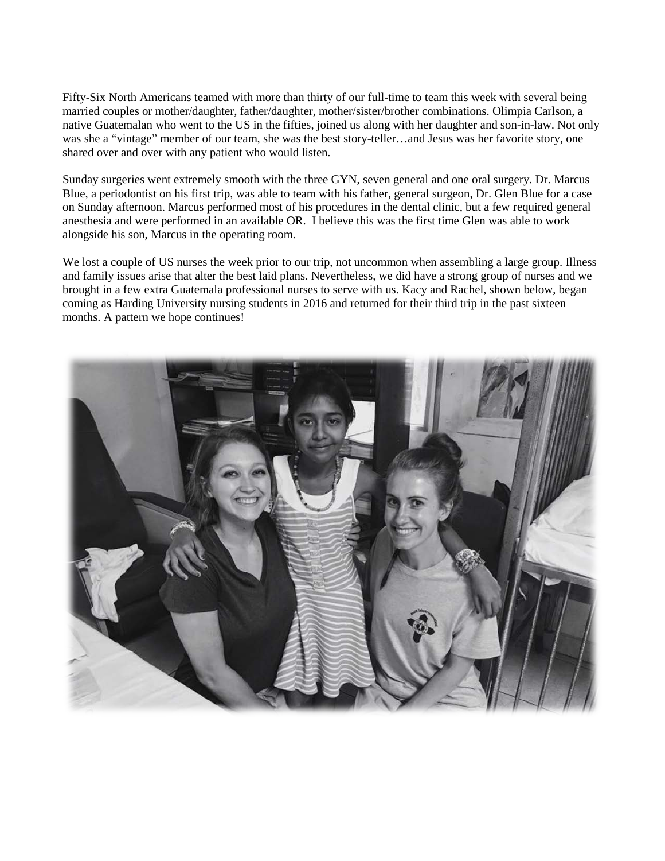Fifty-Six North Americans teamed with more than thirty of our full-time to team this week with several being married couples or mother/daughter, father/daughter, mother/sister/brother combinations. Olimpia Carlson, a native Guatemalan who went to the US in the fifties, joined us along with her daughter and son-in-law. Not only was she a "vintage" member of our team, she was the best story-teller…and Jesus was her favorite story, one shared over and over with any patient who would listen.

Sunday surgeries went extremely smooth with the three GYN, seven general and one oral surgery. Dr. Marcus Blue, a periodontist on his first trip, was able to team with his father, general surgeon, Dr. Glen Blue for a case on Sunday afternoon. Marcus performed most of his procedures in the dental clinic, but a few required general anesthesia and were performed in an available OR. I believe this was the first time Glen was able to work alongside his son, Marcus in the operating room.

We lost a couple of US nurses the week prior to our trip, not uncommon when assembling a large group. Illness and family issues arise that alter the best laid plans. Nevertheless, we did have a strong group of nurses and we brought in a few extra Guatemala professional nurses to serve with us. Kacy and Rachel, shown below, began coming as Harding University nursing students in 2016 and returned for their third trip in the past sixteen months. A pattern we hope continues!